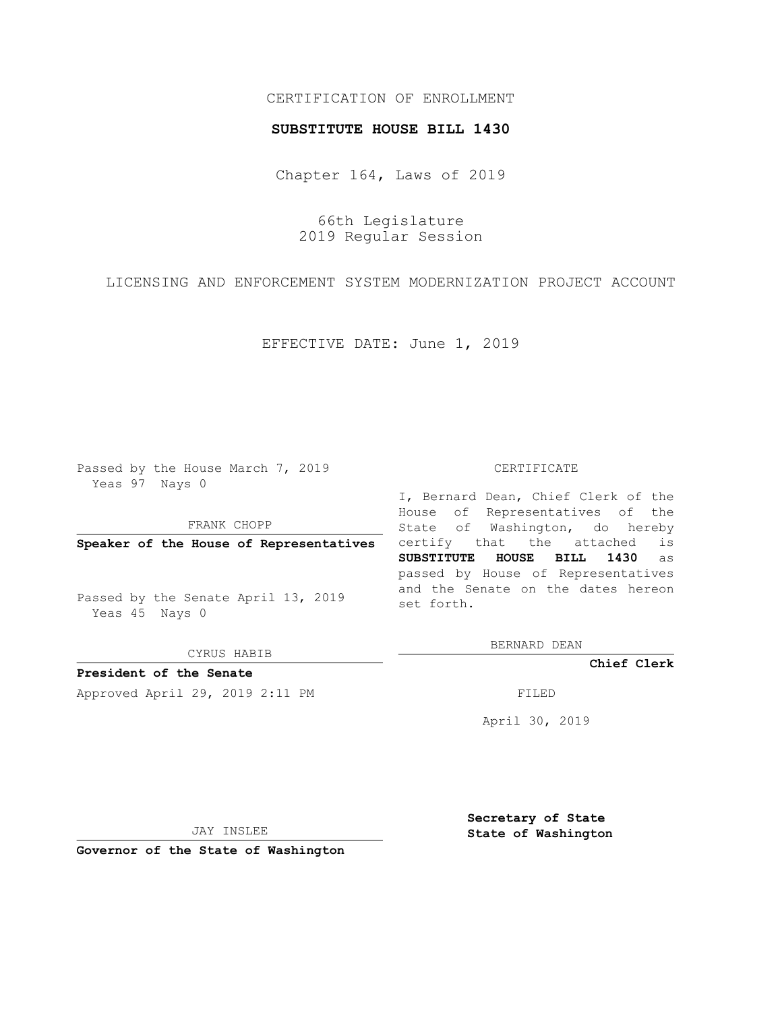## CERTIFICATION OF ENROLLMENT

## **SUBSTITUTE HOUSE BILL 1430**

Chapter 164, Laws of 2019

66th Legislature 2019 Regular Session

LICENSING AND ENFORCEMENT SYSTEM MODERNIZATION PROJECT ACCOUNT

EFFECTIVE DATE: June 1, 2019

Passed by the House March 7, 2019 Yeas 97 Nays 0

FRANK CHOPP

**Speaker of the House of Representatives**

Passed by the Senate April 13, 2019 Yeas 45 Nays 0

CYRUS HABIB

**President of the Senate**

Approved April 29, 2019 2:11 PM FILED

## CERTIFICATE

I, Bernard Dean, Chief Clerk of the House of Representatives of the State of Washington, do hereby certify that the attached is **SUBSTITUTE HOUSE BILL 1430** as passed by House of Representatives and the Senate on the dates hereon set forth.

BERNARD DEAN

**Chief Clerk**

April 30, 2019

JAY INSLEE

**Governor of the State of Washington**

**Secretary of State State of Washington**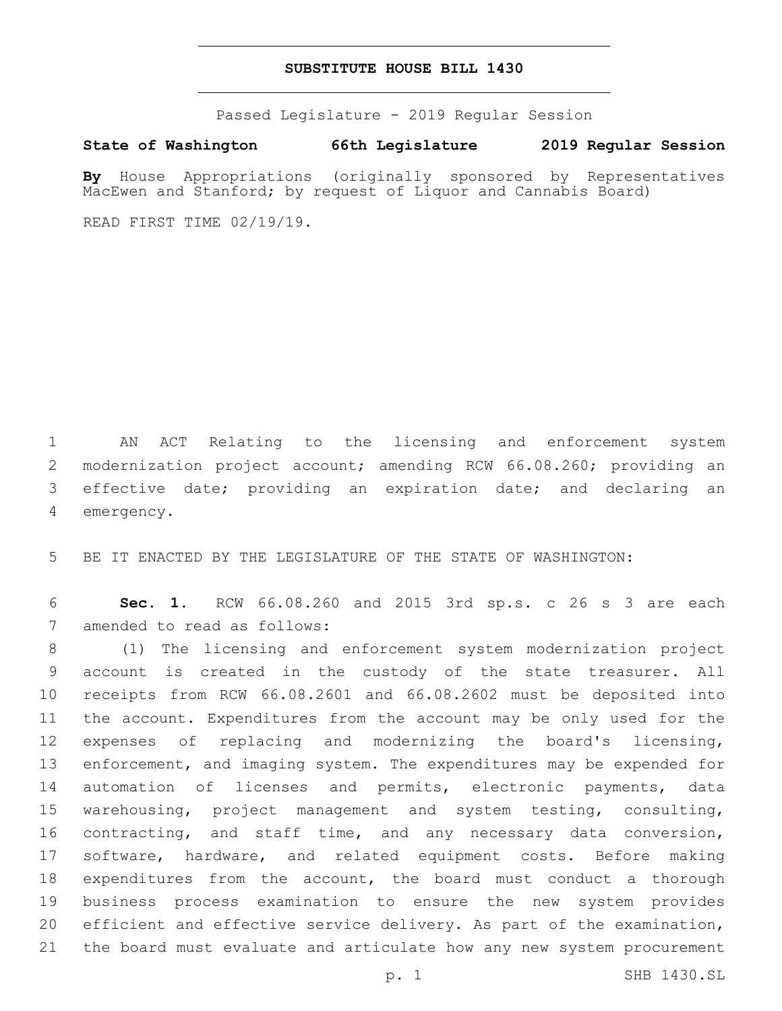## **SUBSTITUTE HOUSE BILL 1430**

Passed Legislature - 2019 Regular Session

**State of Washington 66th Legislature 2019 Regular Session**

**By** House Appropriations (originally sponsored by Representatives MacEwen and Stanford; by request of Liquor and Cannabis Board)

READ FIRST TIME 02/19/19.

 AN ACT Relating to the licensing and enforcement system modernization project account; amending RCW 66.08.260; providing an effective date; providing an expiration date; and declaring an 4 emergency.

BE IT ENACTED BY THE LEGISLATURE OF THE STATE OF WASHINGTON:

 **Sec. 1.** RCW 66.08.260 and 2015 3rd sp.s. c 26 s 3 are each 7 amended to read as follows:

 (1) The licensing and enforcement system modernization project account is created in the custody of the state treasurer. All receipts from RCW 66.08.2601 and 66.08.2602 must be deposited into the account. Expenditures from the account may be only used for the expenses of replacing and modernizing the board's licensing, enforcement, and imaging system. The expenditures may be expended for automation of licenses and permits, electronic payments, data warehousing, project management and system testing, consulting, contracting, and staff time, and any necessary data conversion, software, hardware, and related equipment costs. Before making expenditures from the account, the board must conduct a thorough business process examination to ensure the new system provides efficient and effective service delivery. As part of the examination, the board must evaluate and articulate how any new system procurement

p. 1 SHB 1430.SL